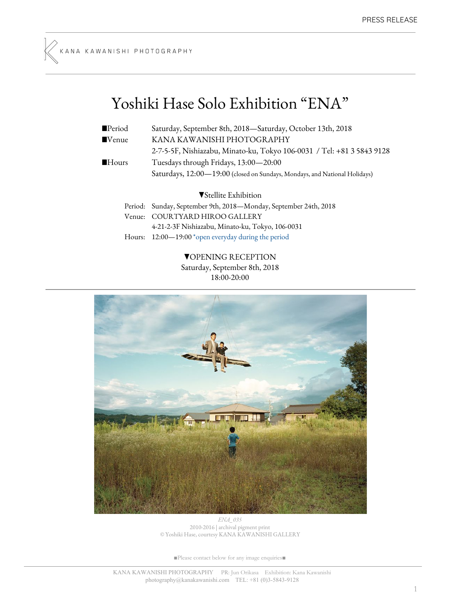## Yoshiki Hase Solo Exhibition "ENA"

| ■Period              | Saturday, September 8th, 2018-Saturday, October 13th, 2018                 |
|----------------------|----------------------------------------------------------------------------|
| ■Venue               | KANA KAWANISHI PHOTOGRAPHY                                                 |
|                      | 2-7-5-5F, Nishiazabu, Minato-ku, Tokyo 106-0031 / Tel: +81 3 5843 9128     |
| $\blacksquare$ Hours | Tuesdays through Fridays, 13:00-20:00                                      |
|                      | Saturdays, 12:00-19:00 (closed on Sundays, Mondays, and National Holidays) |
|                      | ▼Stellite Exhibition                                                       |
|                      | Period: Sunday, September 9th, 2018—Monday, September 24th, 2018           |
| Venue:               | COURTYARD HIROO GALLERY                                                    |

4-21-2-3F Nishiazabu, Minato-ku, Tokyo, 106-0031 Hours: 12:00—19:00 \*open everyday during the period

> ▼OPENING RECEPTION Saturday, September 8th, 2018 18:00-20:00



*ENA\_035* 2010-2016 | archival pigment print © Yoshiki Hase, courtesy KANA KAWANISHI GALLERY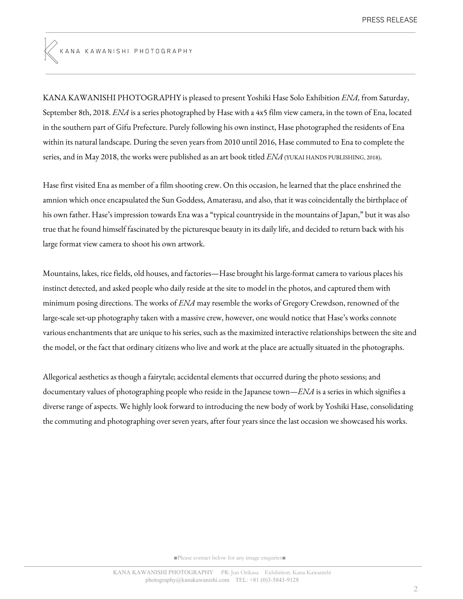## KANA KAWANISHI PHOTOGRAPHY

KANA KAWANISHI PHOTOGRAPHY is pleased to present Yoshiki Hase Solo Exhibition *ENA,* from Saturday, September 8th, 2018. *ENA* is a series photographed by Hase with a 4x5 film view camera, in the town of Ena, located in the southern part of Gifu Prefecture. Purely following his own instinct, Hase photographed the residents of Ena within its natural landscape. During the seven years from 2010 until 2016, Hase commuted to Ena to complete the series, and in May 2018, the works were published as an art book titled *ENA*(YUKAI HANDS PUBLISHING, 2018).

Hase first visited Ena as member of a film shooting crew. On this occasion, he learned that the place enshrined the amnion which once encapsulated the Sun Goddess, Amaterasu, and also, that it was coincidentally the birthplace of his own father. Hase's impression towards Ena was a "typical countryside in the mountains of Japan," but it was also true that he found himself fascinated by the picturesque beauty in its daily life, and decided to return back with his large format view camera to shoot his own artwork.

Mountains, lakes, rice fields, old houses, and factories—Hase brought his large-format camera to various places his instinct detected, and asked people who daily reside at the site to model in the photos, and captured them with minimum posing directions. The works of *ENA* may resemble the works of Gregory Crewdson, renowned of the large-scale set-up photography taken with a massive crew, however, one would notice that Hase's works connote various enchantments that are unique to his series, such as the maximized interactive relationships between the site and the model, or the fact that ordinary citizens who live and work at the place are actually situated in the photographs.

Allegorical aesthetics as though a fairytale; accidental elements that occurred during the photo sessions; and documentary values of photographing people who reside in the Japanese town—*ENA* is a series in which signifies a diverse range of aspects. We highly look forward to introducing the new body of work by Yoshiki Hase, consolidating the commuting and photographing over seven years, after four years since the last occasion we showcased his works.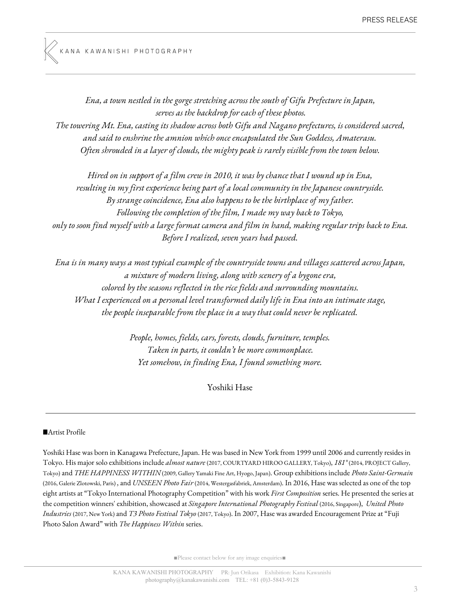*Ena, a town nestled in the gorge stretching across the south of Gifu Prefecture in Japan, serves as the backdrop for each of these photos. The towering Mt. Ena, casting its shadow across both Gifu and Nagano prefectures, is considered sacred, and said to enshrine the amnion which once encapsulated the Sun Goddess, Amaterasu. Often shrouded in a layer of clouds, the mighty peak is rarely visible from the town below.*

*Hired on in support of a film crew in 2010, it was by chance that I wound up in Ena, resulting in my first experience being part of a local community in the Japanese countryside. By strange coincidence, Ena also happens to be the birthplace of my father. Following the completion of the film, I made my way back to Tokyo,* only to soon find myself with a large format camera and film in hand, making regular trips back to Ena. *Before I realized, seven years had passed.*

Ena is in many ways a most typical example of the countryside towns and villages scattered across Japan, *a mixture of modern living, along with scenery of a bygone era, colored by the seasons reflected in the rice fields and surrounding mountains. What I experienced on a personal level transformed daily life in Ena into an intimate stage, the people inseparable from the place in a way that could never be replicated.*

> *People, homes, fields, cars, forests, clouds, furniture, temples. Taken in parts, it couldn't be more commonplace. Yet somehow, in finding Ena, I found something more.*

> > Yoshiki Hase

## ■Artist Profile

Yoshiki Hase was born in Kanagawa Prefecture, Japan. He was based in New York from 1999 until 2006 and currently resides in Tokyo. His major solo exhibitions include *almost nature* (2017, COURTYARD HIROO GALLERY, Tokyo), *181°* (2014, PROJECT Gallery, Tokyo) and *THE HAPPINESS WITHIN* (2009, Gallery Yamaki Fine Art, Hyogo, Japan). Group exhibitions include *Photo Saint-Germain* (2016, Galerie Zlotowski, Paris) , and *UNSEEN Photo Fair* (2014, Westergasfabriek, Amsterdam). In 2016, Hase was selected as one of the top eight artists at "Tokyo International Photography Competition" with his work *First Composition* series. He presented the series at the competition winners' exhibition, showcased at *Singapore International Photography Festival* (2016, Singapore), *United Photo Industries* (2017, New York) and *T3 Photo Festival Tokyo* (2017, Tokyo). In 2007, Hase was awarded Encouragement Prize at "Fuji Photo Salon Award" with *The Happiness Within* series.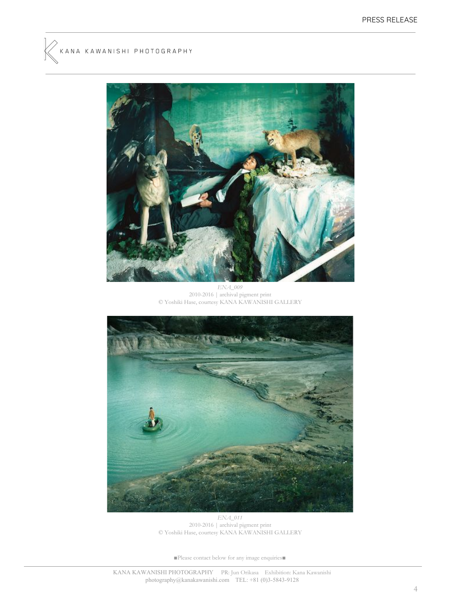



*ENA\_009* 2010-2016 | archival pigment print © Yoshiki Hase, courtesy KANA KAWANISHI GALLERY



*ENA\_011* 2010-2016 | archival pigment print © Yoshiki Hase, courtesy KANA KAWANISHI GALLERY